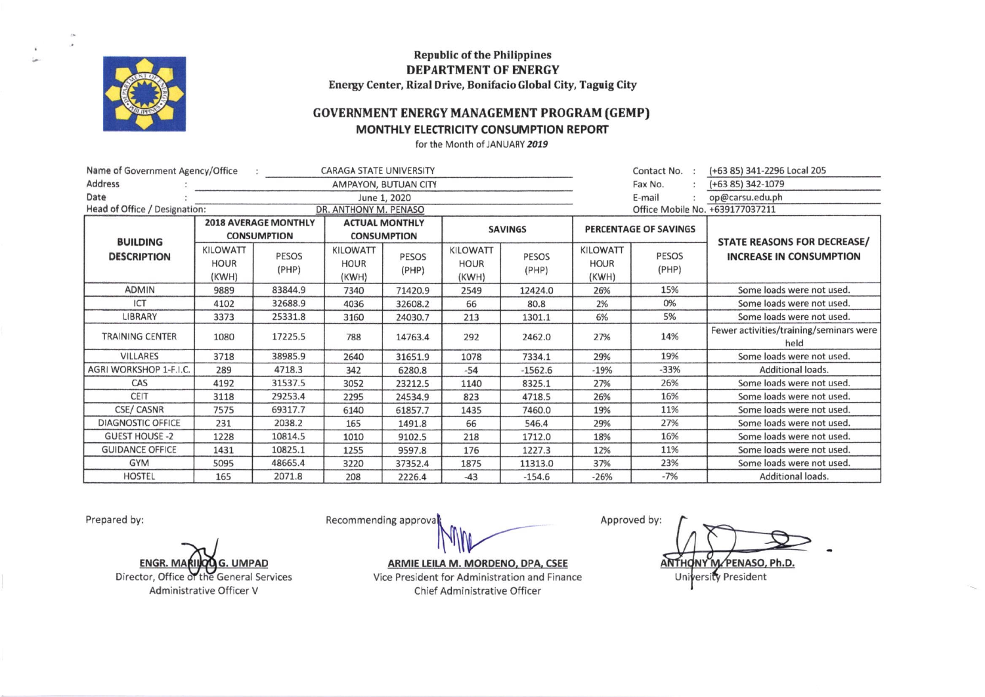

**Republic of the Philippines DEPARTMENT OF ENERGY** Energy Center, Rizal Drive, Bonifacio Global City, Taguig City

## **GOVERNMENT ENERGY MANAGEMENT PROGRAM (GEMP)**

## MONTHLY ELECTRICITY CONSUMPTION REPORT

for the Month of JANUARY 2019

| Name of Government Agency/Office<br><b>CARAGA STATE UNIVERSITY</b> |                                  |                |                                  |                |                                  |                |                                  | Contact No. :                   | (+63 85) 341-2296 Local 205                     |  |
|--------------------------------------------------------------------|----------------------------------|----------------|----------------------------------|----------------|----------------------------------|----------------|----------------------------------|---------------------------------|-------------------------------------------------|--|
| <b>Address</b>                                                     | AMPAYON, BUTUAN CITY             |                |                                  |                |                                  |                |                                  | Fax No.                         | (+63 85) 342-1079                               |  |
| Date                                                               | June 1, 2020                     |                |                                  |                |                                  |                |                                  | E-mail                          | op@carsu.edu.ph                                 |  |
| Head of Office / Designation:<br>DR. ANTHONY M. PENASO             |                                  |                |                                  |                |                                  |                |                                  | Office Mobile No. +639177037211 |                                                 |  |
|                                                                    | <b>2018 AVERAGE MONTHLY</b>      |                | <b>ACTUAL MONTHLY</b>            |                | <b>SAVINGS</b>                   |                | PERCENTAGE OF SAVINGS            |                                 |                                                 |  |
| <b>BUILDING</b>                                                    | <b>CONSUMPTION</b>               |                | <b>CONSUMPTION</b>               |                |                                  |                |                                  |                                 | STATE REASONS FOR DECREASE/                     |  |
| <b>DESCRIPTION</b>                                                 | KILOWATT<br><b>HOUR</b><br>(KWH) | PESOS<br>(PHP) | KILOWATT<br><b>HOUR</b><br>(KWH) | PESOS<br>(PHP) | KILOWATT<br><b>HOUR</b><br>(KWH) | PESOS<br>(PHP) | KILOWATT<br><b>HOUR</b><br>(KWH) | PESOS<br>(PHP)                  | <b>INCREASE IN CONSUMPTION</b>                  |  |
| <b>ADMIN</b>                                                       | 9889                             | 83844.9        | 7340                             | 71420.9        | 2549                             | 12424.0        | 26%                              | 15%                             | Some loads were not used.                       |  |
| ICT                                                                | 4102                             | 32688.9        | 4036                             | 32608.2        | 66                               | 80.8           | 2%                               | 0%                              | Some loads were not used.                       |  |
| LIBRARY                                                            | 3373                             | 25331.8        | 3160                             | 24030.7        | 213                              | 1301.1         | 6%                               | 5%                              | Some loads were not used.                       |  |
| <b>TRAINING CENTER</b>                                             | 1080                             | 17225.5        | 788                              | 14763.4        | 292                              | 2462.0         | 27%                              | 14%                             | Fewer activities/training/seminars were<br>held |  |
| <b>VILLARES</b>                                                    | 3718                             | 38985.9        | 2640                             | 31651.9        | 1078                             | 7334.1         | 29%                              | 19%                             | Some loads were not used.                       |  |
| AGRI WORKSHOP 1-F.I.C.                                             | 289                              | 4718.3         | 342                              | 6280.8         | $-54$                            | $-1562.6$      | $-19%$                           | $-33%$                          | Additional loads.                               |  |
| CAS                                                                | 4192                             | 31537.5        | 3052                             | 23212.5        | 1140                             | 8325.1         | 27%                              | 26%                             | Some loads were not used.                       |  |
| CEIT                                                               | 3118                             | 29253.4        | 2295                             | 24534.9        | 823                              | 4718.5         | 26%                              | 16%                             | Some loads were not used.                       |  |
| <b>CSE/ CASNR</b>                                                  | 7575                             | 69317.7        | 6140                             | 61857.7        | 1435                             | 7460.0         | 19%                              | 11%                             | Some loads were not used.                       |  |
| <b>DIAGNOSTIC OFFICE</b>                                           | 231                              | 2038.2         | 165                              | 1491.8         | 66                               | 546.4          | 29%                              | 27%                             | Some loads were not used.                       |  |
| <b>GUEST HOUSE -2</b>                                              | 1228                             | 10814.5        | 1010                             | 9102.5         | 218                              | 1712.0         | 18%                              | 16%                             | Some loads were not used.                       |  |
| <b>GUIDANCE OFFICE</b>                                             | 1431                             | 10825.1        | 1255                             | 9597.8         | 176                              | 1227.3         | 12%                              | 11%                             | Some loads were not used.                       |  |
| <b>GYM</b>                                                         | 5095                             | 48665.4        | 3220                             | 37352.4        | 1875                             | 11313.0        | 37%                              | 23%                             | Some loads were not used.                       |  |
| <b>HOSTEL</b>                                                      | 165                              | 2071.8         | 208                              | 2226.4         | $-43$                            | $-154.6$       | $-26%$                           | $-7%$                           | Additional loads.                               |  |

Prepared by:

**ENGR. M UMPAD** Director, Office of the General Services

Administrative Officer V

Recommending approva

ARMIE LEILA M. MORDENO, DPA, CSEE Vice President for Administration and Finance Chief Administrative Officer

Approved by: ANTHONY M/PENASO, Ph.D. ersity President